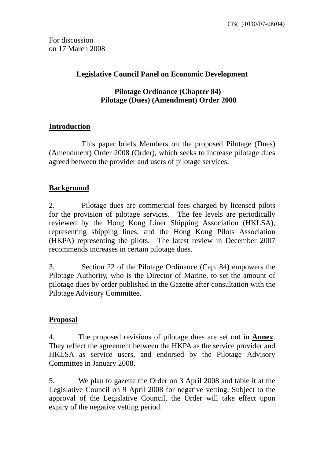For discussion on 17 March 2008

#### **Legislative Council Panel on Economic Development**

#### **Pilotage Ordinance (Chapter 84) Pilotage (Dues) (Amendment) Order 2008**

### **Introduction**

 This paper briefs Members on the proposed Pilotage (Dues) (Amendment) Order 2008 (Order), which seeks to increase pilotage dues agreed between the provider and users of pilotage services.

#### **Background**

2. Pilotage dues are commercial fees charged by licensed pilots for the provision of pilotage services. The fee levels are periodically reviewed by the Hong Kong Liner Shipping Association (HKLSA), representing shipping lines, and the Hong Kong Pilots Association (HKPA) representing the pilots. The latest review in December 2007 recommends increases in certain pilotage dues.

3. Section 22 of the Pilotage Ordinance (Cap. 84) empowers the Pilotage Authority, who is the Director of Marine, to set the amount of pilotage dues by order published in the Gazette after consultation with the Pilotage Advisory Committee.

#### **Proposal**

4. The proposed revisions of pilotage dues are set out in **Annex**. They reflect the agreement between the HKPA as the service provider and HKLSA as service users, and endorsed by the Pilotage Advisory Committee in January 2008.

5. We plan to gazette the Order on 3 April 2008 and table it at the Legislative Council on 9 April 2008 for negative vetting. Subject to the approval of the Legislative Council, the Order will take effect upon expiry of the negative vetting period.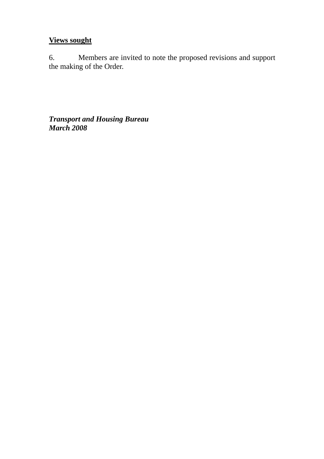# **Views sought**

6. Members are invited to note the proposed revisions and support the making of the Order.

*Transport and Housing Bureau March 2008*